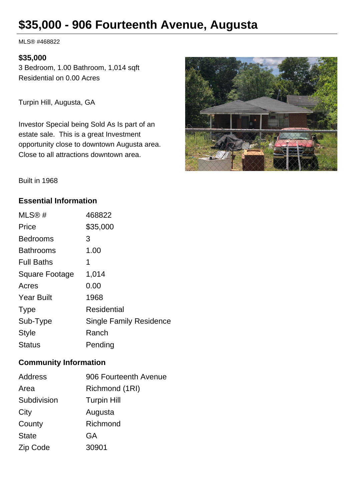# **\$35,000 - 906 Fourteenth Avenue, Augusta**

MLS® #468822

#### **\$35,000**

3 Bedroom, 1.00 Bathroom, 1,014 sqft Residential on 0.00 Acres

Turpin Hill, Augusta, GA

Investor Special being Sold As Is part of an estate sale. This is a great Investment opportunity close to downtown Augusta area. Close to all attractions downtown area.



Built in 1968

### **Essential Information**

| MLS@#                 | 468822                         |
|-----------------------|--------------------------------|
| Price                 | \$35,000                       |
| <b>Bedrooms</b>       | 3                              |
| <b>Bathrooms</b>      | 1.00                           |
| <b>Full Baths</b>     | 1                              |
| <b>Square Footage</b> | 1,014                          |
| Acres                 | 0.00                           |
| <b>Year Built</b>     | 1968                           |
| <b>Type</b>           | Residential                    |
| Sub-Type              | <b>Single Family Residence</b> |
| <b>Style</b>          | Ranch                          |
| <b>Status</b>         | Pending                        |

## **Community Information**

| <b>Address</b> | 906 Fourteenth Avenue |
|----------------|-----------------------|
| Area           | Richmond (1RI)        |
| Subdivision    | <b>Turpin Hill</b>    |
| City           | Augusta               |
| County         | Richmond              |
| <b>State</b>   | <b>GA</b>             |
| Zip Code       | 30901                 |